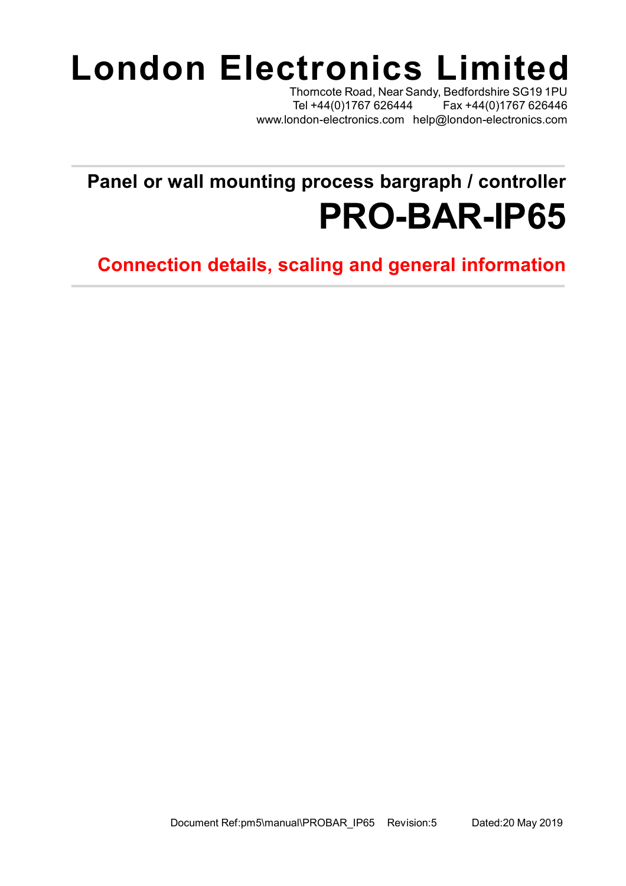## **London Electronics Limited**

Thorncote Road, Near Sandy, Bedfordshire SG19 1PU Tel +44(0)1767 626444 Fax +44(0)1767 626446 [www.london-electronics.com](http://www.london-electronics.com) [help@london-electronics.com](mailto:help@london-electronics.com)

## **Panel or wall mounting process bargraph / controller PRO-BAR-IP65**

**Connection details, scaling and general information**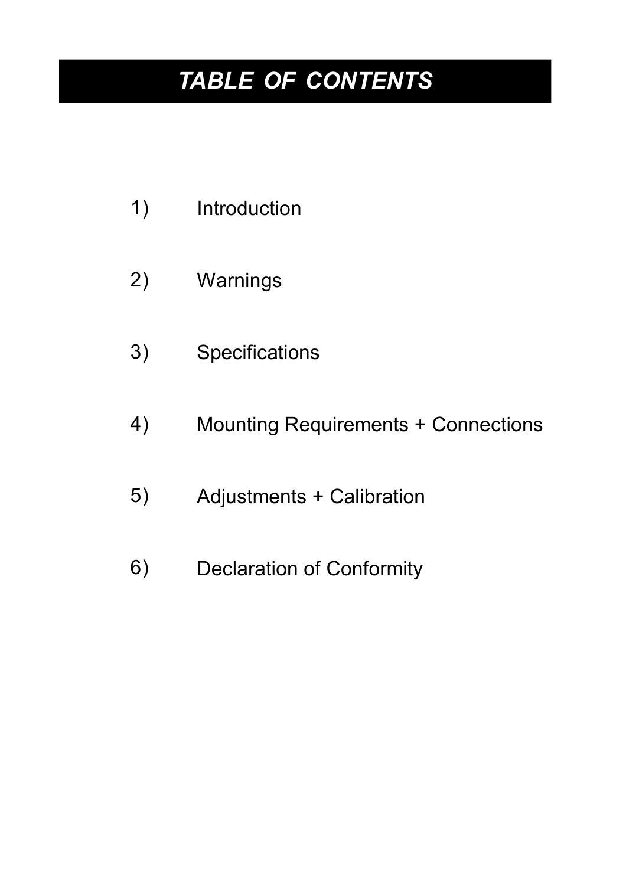### *TABLE OF CONTENTS*

- Introduction 1)
- Warnings 2)
- **Specifications** 3)
- Mounting Requirements + Connections 4)
- Adjustments + Calibration 5)
- Declaration of Conformity 6)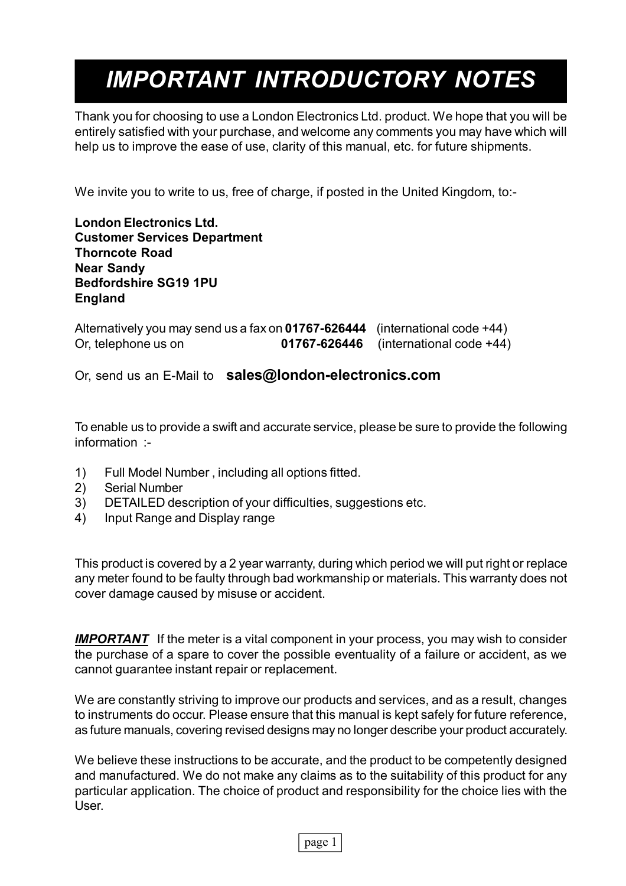### *IMPORTANT INTRODUCTORY NOTES*

Thank you for choosing to use a London Electronics Ltd. product. We hope that you will be entirely satisfied with your purchase, and welcome any comments you may have which will help us to improve the ease of use, clarity of this manual, etc. for future shipments.

We invite you to write to us, free of charge, if posted in the United Kingdom, to:-

**London Electronics Ltd. Customer Services Department Thorncote Road Near Sandy Bedfordshire SG19 1PU England**

Alternatively you may send us a fax on **01767-626444** (international code +44) Or, telephone us on **01767-626446** (international code +44)

Or, send us an E-Mail to **[sales@london-electronics.com](mailto:sales@london-electronics.com)**

To enable us to provide a swift and accurate service, please be sure to provide the following information :-

- 1) Full Model Number , including all options fitted.
- 2) Serial Number
- 3) DETAILED description of your difficulties, suggestions etc.
- 4) Input Range and Display range

This product is covered by a 2 year warranty, during which period we will put right or replace any meter found to be faulty through bad workmanship or materials. This warranty does not cover damage caused by misuse or accident.

**IMPORTANT** If the meter is a vital component in your process, you may wish to consider the purchase of a spare to cover the possible eventuality of a failure or accident, as we cannot guarantee instant repair or replacement.

We are constantly striving to improve our products and services, and as a result, changes to instruments do occur. Please ensure that this manual is kept safely for future reference, as future manuals, covering revised designs may no longer describe your product accurately.

We believe these instructions to be accurate, and the product to be competently designed and manufactured. We do not make any claims as to the suitability of this product for any particular application. The choice of product and responsibility for the choice lies with the User.

page 1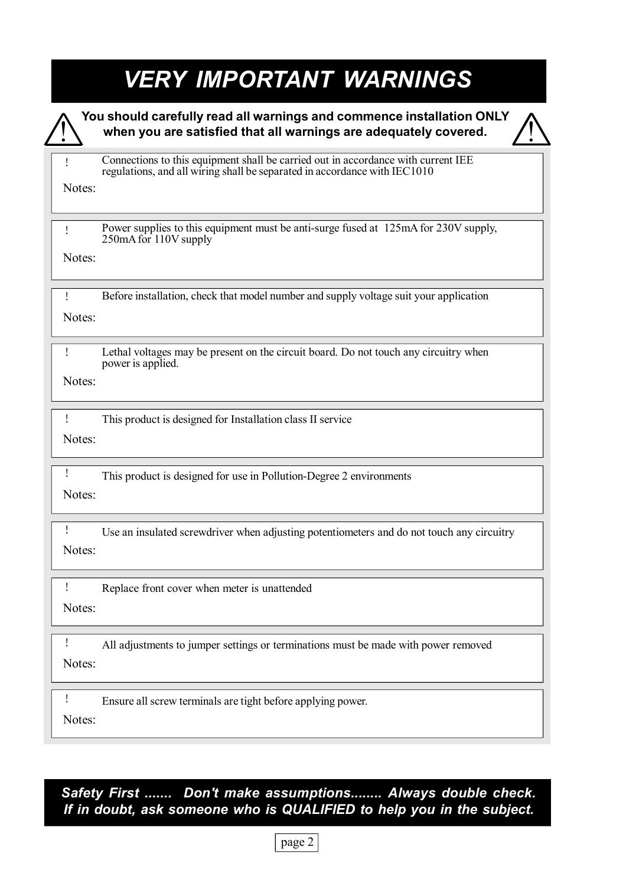### *VERY IMPORTANT WARNINGS*

|        | You should carefully read all warnings and commence installation ONLY<br>when you are satisfied that all warnings are adequately covered.                      |
|--------|----------------------------------------------------------------------------------------------------------------------------------------------------------------|
| I      | Connections to this equipment shall be carried out in accordance with current IEE<br>regulations, and all wiring shall be separated in accordance with IEC1010 |
| Notes: |                                                                                                                                                                |
| Ţ      | Power supplies to this equipment must be anti-surge fused at 125mA for 230V supply,<br>250mA for 110V supply                                                   |
| Notes: |                                                                                                                                                                |
|        | Before installation, check that model number and supply voltage suit your application                                                                          |
| Notes: |                                                                                                                                                                |
| Ţ      | Lethal voltages may be present on the circuit board. Do not touch any circuitry when<br>power is applied.                                                      |
| Notes: |                                                                                                                                                                |
| Ţ      | This product is designed for Installation class II service                                                                                                     |
| Notes: |                                                                                                                                                                |
|        | This product is designed for use in Pollution-Degree 2 environments                                                                                            |
| Notes: |                                                                                                                                                                |
| Notes: | Use an insulated screwdriver when adjusting potentiometers and do not touch any circuitry                                                                      |
| Ţ      | Replace front cover when meter is unattended                                                                                                                   |
| Notes: |                                                                                                                                                                |
|        | All adjustments to jumper settings or terminations must be made with power removed                                                                             |
| Notes: |                                                                                                                                                                |
| Ţ      | Ensure all screw terminals are tight before applying power.                                                                                                    |
| Notes: |                                                                                                                                                                |

### *Safety First ....... Don't make assumptions........ Always double check. If in doubt, ask someone who is QUALIFIED to help you in the subject.*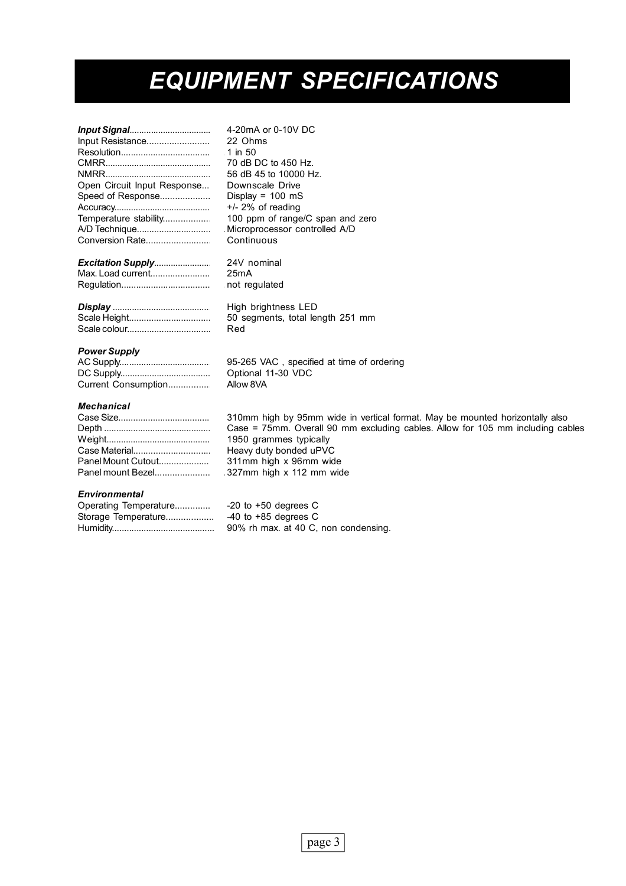### *EQUIPMENT SPECIFICATIONS*

| Input Resistance<br>Open Circuit Input Response<br>Speed of Response<br>Temperature stability<br>A/D Technique |
|----------------------------------------------------------------------------------------------------------------|
| Conversion Rate                                                                                                |
|                                                                                                                |

*Input Signal*...................................... 4-20mA or 0-10V DC 22 Ohms 1 in 50 70 dB DC to 450 Hz. 56 dB 45 to 10000 Hz. Downscale Drive Display =  $100$  mS  $+/-$  2% of reading 100 ppm of range/C span and zero Microprocessor controlled A/D Continuous

#### *Excitation Supply*........................... 24V nominal Max. Load current.............................. 25mA

| High brightness LED    |
|------------------------|
| 50 segments, total lei |
| Red                    |

Regulation.......................................... not regulated

#### *Power Supply*

|                     | $95 - 2$ |
|---------------------|----------|
|                     | Optio    |
| Current Consumption | Allow    |

#### *Mechanical*

| Panel Mount Cutout |
|--------------------|
| Panel mount Bezel  |

#### *Environmental*

| Operating Temperature |
|-----------------------|
| Storage Temperature   |
|                       |

165 VAC, specified at time of ordering onal 11-30 VDC v 8VA

50 segments, total length 251 mm

310mm high by 95mm wide in vertical format. May be mounted horizontally also Case = 75mm. Overall 90 mm excluding cables. Allow for 105 mm including cables 1950 grammes typically Heavy duty bonded uPVC 311mm high x 96mm wide Panel mount Bezel............................ 327mm high x 112 mm wide

> $-20$  to  $+50$  degrees C -40 to  $+85$  degrees C 90% rh max. at 40 C, non condensing.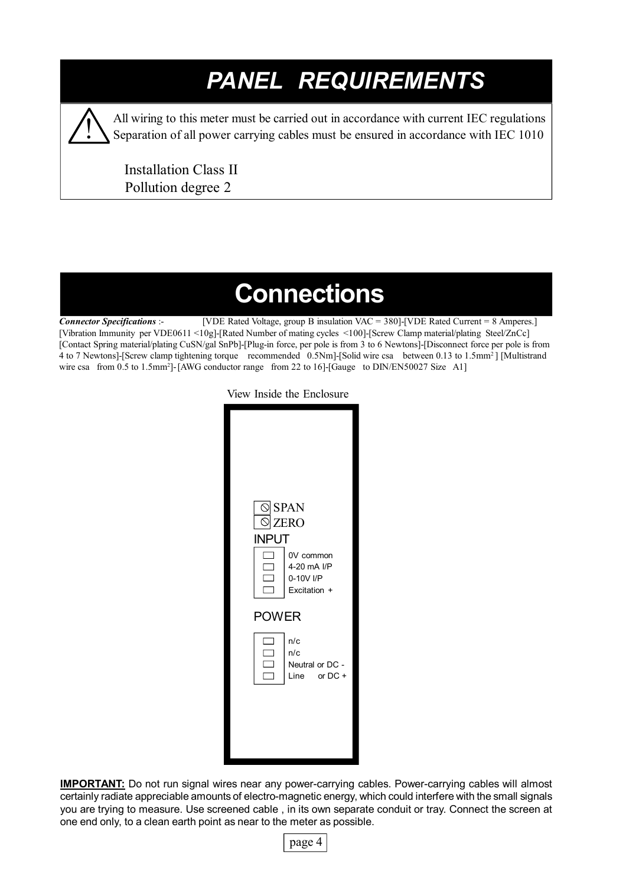### *PANEL REQUIREMENTS*



All wiring to this meter must be carried out in accordance with current IEC regulations Separation of all power carrying cables must be ensured in accordance with IEC 1010

 Installation Class II Pollution degree 2

### **Connections**

*Connector Specifications* :- [VDE Rated Voltage, group B insulation VAC = 380]-[VDE Rated Current = 8 Amperes.] [Vibration Immunity per VDE0611 <10g]-[Rated Number of mating cycles <100]-[Screw Clamp material/plating Steel/ZnCc] [Contact Spring material/plating CuSN/gal SnPb]-[Plug-in force, per pole is from 3 to 6 Newtons]-[Disconnect force per pole is from 4 to 7 Newtons]-[Screw clamp tightening torque recommended 0.5Nm]-[Solid wire csa between 0.13 to 1.5mm<sup>2</sup>] [Multistrand wire csa from 0.5 to 1.5mm<sup>2</sup>]-[AWG conductor range from 22 to 16]-[Gauge to DIN/EN50027 Size A1]

View Inside the Enclosure



**IMPORTANT:** Do not run signal wires near any power-carrying cables. Power-carrying cables will almost certainly radiate appreciable amounts of electro-magnetic energy, which could interfere with the small signals you are trying to measure. Use screened cable , in its own separate conduit or tray. Connect the screen at one end only, to a clean earth point as near to the meter as possible.

page 4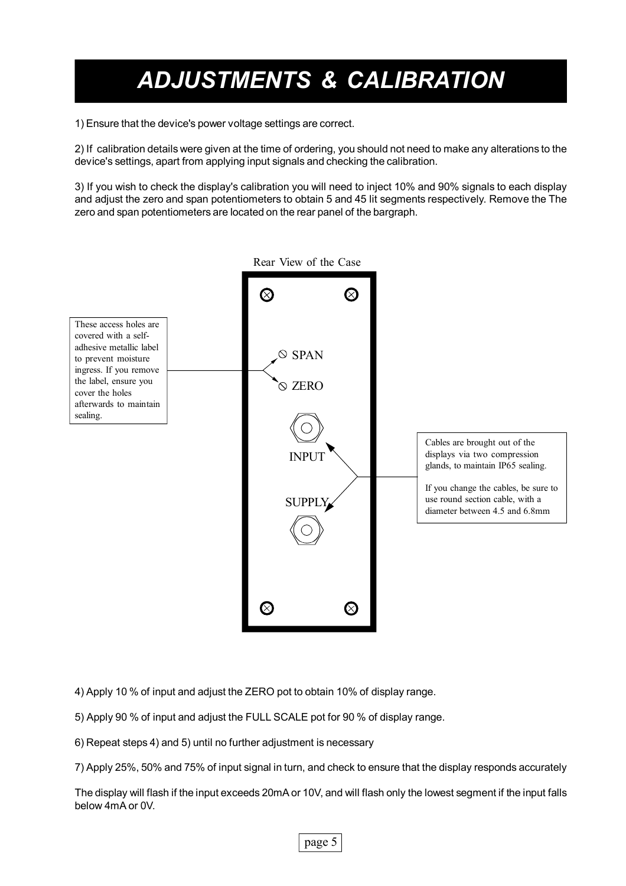### *ADJUSTMENTS & CALIBRATION*

1) Ensure that the device's power voltage settings are correct.

2) If calibration details were given at the time of ordering, you should not need to make any alterations to the device's settings, apart from applying input signals and checking the calibration.

3) If you wish to check the display's calibration you will need to inject 10% and 90% signals to each display and adjust the zero and span potentiometers to obtain 5 and 45 lit segments respectively. Remove the The zero and span potentiometers are located on the rear panel of the bargraph.



4) Apply 10 % of input and adjust the ZERO pot to obtain 10% of display range.

5) Apply 90 % of input and adjust the FULL SCALE pot for 90 % of display range.

6) Repeat steps 4) and 5) until no further adjustment is necessary

7) Apply 25%, 50% and 75% of input signal in turn, and check to ensure that the display responds accurately

The display will flash if the input exceeds 20mA or 10V, and will flash only the lowest segment if the input falls below 4mA or 0V.